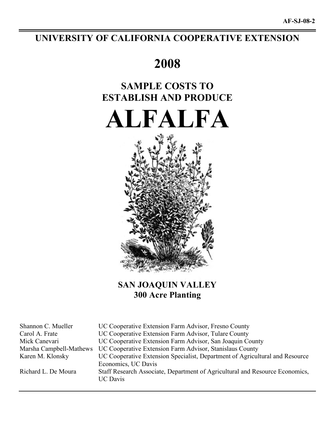## **UNIVERSITY OF CALIFORNIA COOPERATIVE EXTENSION**

# **2008**

# **SAMPLE COSTS TO ESTABLISH AND PRODUCE**

**ALFALFA** 



## **SAN JOAQUIN VALLEY 300 Acre Planting**

Shannon C. Mueller UC Cooperative Extension Farm Advisor, Fresno County Carol A. Frate UC Cooperative Extension Farm Advisor, Tulare County Mick Canevari UC Cooperative Extension Farm Advisor, San Joaquin County Marsha Campbell-Mathews UC Cooperative Extension Farm Advisor, Stanislaus County Karen M. Klonsky UC Cooperative Extension Specialist, Department of Agricultural and Resource Economics, UC Davis Richard L. De Moura Staff Research Associate, Department of Agricultural and Resource Economics, UC Davis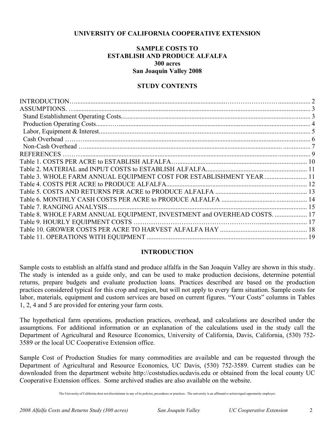## **UNIVERSITY OF CALIFORNIA COOPERATIVE EXTENSION**

## **SAMPLE COSTS TO ESTABLISH AND PRODUCE ALFALFA 300 acres San Joaquin Valley 2008**

## **STUDY CONTENTS**

| Table 3. WHOLE FARM ANNUAL EQUIPMENT COST FOR ESTABLISHMENT YEAR  11     |
|--------------------------------------------------------------------------|
|                                                                          |
|                                                                          |
|                                                                          |
|                                                                          |
| Table 8. WHOLE FARM ANNUAL EQUIPMENT, INVESTMENT and OVERHEAD COSTS.  17 |
|                                                                          |
|                                                                          |
|                                                                          |
|                                                                          |

## **INTRODUCTION**

Sample costs to establish an alfalfa stand and produce alfalfa in the San Joaquin Valley are shown in this study. The study is intended as a guide only, and can be used to make production decisions, determine potential returns, prepare budgets and evaluate production loans. Practices described are based on the production practices considered typical for this crop and region, but will not apply to every farm situation. Sample costs for labor, materials, equipment and custom services are based on current figures. "Your Costs" columns in Tables 1, 2, 4 and 5 are provided for entering your farm costs.

The hypothetical farm operations, production practices, overhead, and calculations are described under the assumptions. For additional information or an explanation of the calculations used in the study call the Department of Agricultural and Resource Economics, University of California, Davis, California, (530) 752- 3589 or the local UC Cooperative Extension office.

Sample Cost of Production Studies for many commodities are available and can be requested through the Department of Agricultural and Resource Economics, UC Davis, (530) 752-3589. Current studies can be downloaded from the department website http://coststudies.ucdavis.edu or obtained from the local county UC Cooperative Extension offices. Some archived studies are also available on the website.

The University of California does not discriminate in any of its policies, procedures or practices. The university is an affirmative action/equal opportunity employer.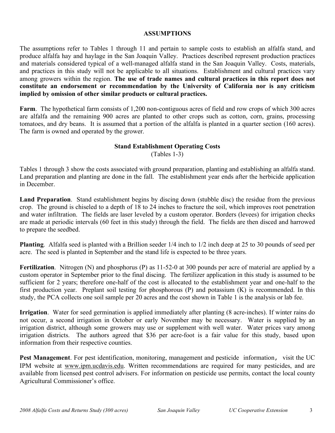## **ASSUMPTIONS**

The assumptions refer to Tables 1 through 11 and pertain to sample costs to establish an alfalfa stand, and produce alfalfa hay and haylage in the San Joaquin Valley. Practices described represent production practices and materials considered typical of a well-managed alfalfa stand in the San Joaquin Valley. Costs, materials, and practices in this study will not be applicable to all situations. Establishment and cultural practices vary among growers within the region. **The use of trade names and cultural practices in this report does not constitute an endorsement or recommendation by the University of California nor is any criticism implied by omission of other similar products or cultural practices.**

**Farm**. The hypothetical farm consists of 1,200 non-contiguous acres of field and row crops of which 300 acres are alfalfa and the remaining 900 acres are planted to other crops such as cotton, corn, grains, processing tomatoes, and dry beans. It is assumed that a portion of the alfalfa is planted in a quarter section (160 acres). The farm is owned and operated by the grower.

# **Stand Establishment Operating Costs**

(Tables 1-3)

Tables 1 through 3 show the costs associated with ground preparation, planting and establishing an alfalfa stand. Land preparation and planting are done in the fall. The establishment year ends after the herbicide application in December.

**Land Preparation**. Stand establishment begins by discing down (stubble disc) the residue from the previous crop. The ground is chiseled to a depth of 18 to 24 inches to fracture the soil, which improves root penetration and water infiltration. The fields are laser leveled by a custom operator. Borders (levees) for irrigation checks are made at periodic intervals (60 feet in this study) through the field. The fields are then disced and harrowed to prepare the seedbed.

**Planting**. Alfalfa seed is planted with a Brillion seeder 1/4 inch to 1/2 inch deep at 25 to 30 pounds of seed per acre. The seed is planted in September and the stand life is expected to be three years.

**Fertilization**. Nitrogen (N) and phosphorus (P) as 11-52-0 at 300 pounds per acre of material are applied by a custom operator in September prior to the final discing. The fertilizer application in this study is assumed to be sufficient for 2 years; therefore one-half of the cost is allocated to the establishment year and one-half to the first production year. Preplant soil testing for phosphorous (P) and potassium (K) is recommended. In this study, the PCA collects one soil sample per 20 acres and the cost shown in Table 1 is the analysis or lab fee.

**Irrigation**. Water for seed germination is applied immediately after planting (8 acre-inches). If winter rains do not occur, a second irrigation in October or early November may be necessary. Water is supplied by an irrigation district, although some growers may use or supplement with well water. Water prices vary among irrigation districts. The authors agreed that \$36 per acre-foot is a fair value for this study, based upon information from their respective counties.

**Pest Management**. For pest identification, monitoring, management and pesticide information, visit the UC IPM website at www.ipm.ucdavis.edu. Written recommendations are required for many pesticides, and are available from licensed pest control advisers. For information on pesticide use permits, contact the local county Agricultural Commissioner's office.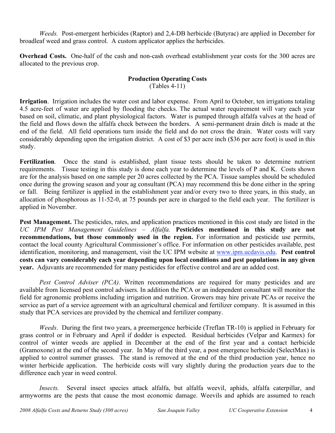*Weeds.* Post-emergent herbicides (Raptor) and 2,4-DB herbicide (Butyrac) are applied in December for broadleaf weed and grass control. A custom applicator applies the herbicides.

**Overhead Costs.** One-half of the cash and non-cash overhead establishment year costs for the 300 acres are allocated to the previous crop.

## **Production Operating Costs**

(Tables 4-11)

**Irrigation**. Irrigation includes the water cost and labor expense. From April to October, ten irrigations totaling 4.5 acre-feet of water are applied by flooding the checks. The actual water requirement will vary each year based on soil, climatic, and plant physiological factors. Water is pumped through alfalfa valves at the head of the field and flows down the alfalfa check between the borders. A semi-permanent drain ditch is made at the end of the field. All field operations turn inside the field and do not cross the drain. Water costs will vary considerably depending upon the irrigation district. A cost of \$3 per acre inch (\$36 per acre foot) is used in this study.

**Fertilization**. Once the stand is established, plant tissue tests should be taken to determine nutrient requirements. Tissue testing in this study is done each year to determine the levels of P and K. Costs shown are for the analysis based on one sample per 20 acres collected by the PCA. Tissue samples should be scheduled once during the growing season and your ag consultant (PCA) may recommend this be done either in the spring or fall. Being fertilizer is applied in the establishment year and/or every two to three years, in this study, an allocation of phosphorous as 11-52-0, at 75 pounds per acre in charged to the field each year. The fertilizer is applied in November.

**Pest Management.** The pesticides, rates, and application practices mentioned in this cost study are listed in the *UC IPM Pest Management Guidelines – Alfalfa.* **Pesticides mentioned in this study are not recommendations, but those commonly used in the region.** For information and pesticide use permits, contact the local county Agricultural Commissioner's office. For information on other pesticides available, pest identification, monitoring, and management, visit the UC IPM website at www.ipm.ucdavis.edu. **Pest control costs can vary considerably each year depending upon local conditions and pest populations in any given year.** Adjuvants are recommended for many pesticides for effective control and are an added cost.

*Pest Control Adviser (PCA).* Written recommendations are required for many pesticides and are available from licensed pest control advisers. In addition the PCA or an independent consultant will monitor the field for agronomic problems including irrigation and nutrition. Growers may hire private PCAs or receive the service as part of a service agreement with an agricultural chemical and fertilizer company. It is assumed in this study that PCA services are provided by the chemical and fertilizer company.

*Weeds*. During the first two years, a preemergence herbicide (Treflan TR-10) is applied in February for grass control or in February and April if dodder is expected. Residual herbicides (Velpar and Karmex) for control of winter weeds are applied in December at the end of the first year and a contact herbicide (Gramoxone) at the end of the second year. In May of the third year, a post emergence herbicide (SelectMax) is applied to control summer grasses. The stand is removed at the end of the third production year, hence no winter herbicide application. The herbicide costs will vary slightly during the production years due to the difference each year in weed control.

*Insects.* Several insect species attack alfalfa, but alfalfa weevil, aphids, alfalfa caterpillar, and armyworms are the pests that cause the most economic damage. Weevils and aphids are assumed to reach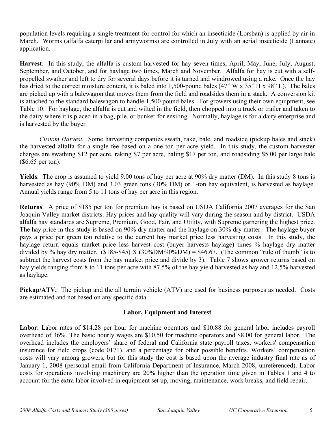population levels requiring a single treatment for control for which an insecticide (Lorsban) is applied by air in March. Worms (alfalfa caterpillar and armyworms) are controlled in July with an aerial insecticide (Lannate) application.

**Harvest**. In this study, the alfalfa is custom harvested for hay seven times; April, May, June, July, August, September, and October, and for haylage two times, March and November. Alfalfa for hay is cut with a selfpropelled swather and left to dry for several days before it is turned and windrowed using a rake. Once the hay has dried to the correct moisture content, it is baled into 1,500-pound bales (47" W x 35" H x 98" L). The bales are picked up with a balewagon that moves them from the field and roadsides them in a stack. A conversion kit is attached to the standard balewagon to handle 1,500 pound bales. For growers using their own equipment, see Table 10. For haylage, the alfalfa is cut and wilted in the field, then chopped into a truck or trailer and taken to the dairy where it is placed in a bag, pile, or bunker for ensiling. Normally, haylage is for a dairy enterprise and is harvested by the buyer.

*Custom Harvest.* Some harvesting companies swath, rake, bale, and roadside (pickup bales and stack) the harvested alfalfa for a single fee based on a one ton per acre yield. In this study, the custom harvester charges are swathing \$12 per acre, raking \$7 per acre, baling \$17 per ton, and roadsiding \$5.00 per large bale (\$6.65 per ton).

**Yields**. The crop is assumed to yield 9.00 tons of hay per acre at 90% dry matter (DM). In this study 8 tons is harvested as hay (90% DM) and 3.03 green tons (30% DM) or 1-ton hay equivalent, is harvested as haylage. Annual yields range from 5 to 11 tons of hay per acre in this region.

**Returns**. A price of \$185 per ton for premium hay is based on USDA California 2007 averages for the San Joaquin Valley market districts. Hay prices and hay quality will vary during the season and by district. USDA alfalfa hay standards are Supreme, Premium, Good, Fair, and Utility, with Supreme garnering the highest price. The hay price in this study is based on 90% dry matter and the haylage on 30% dry matter. The haylage buyer pays a price per green ton relative to the current hay market price less harvesting costs. In this study, the haylage return equals market price less harvest cost (buyer harvests haylage) times % haylage dry matter divided by % hay dry matter. (\$185-\$45) X (30%DM/90%DM) = \$46.67. (The common "rule of thumb" is to subtract the harvest costs from the hay market price and divide by 3). Table 7 shows grower returns based on hay yields ranging from 8 to 11 tons per acre with 87.5% of the hay yield harvested as hay and 12.5% harvested as haylage.

**Pickup/ATV.** The pickup and the all terrain vehicle (ATV) are used for business purposes as needed. Costs are estimated and not based on any specific data.

## **Labor, Equipment and Interest**

Labor. Labor rates of \$14.28 per hour for machine operators and \$10.88 for general labor includes payroll overhead of 36%. The basic hourly wages are \$10.50 for machine operators and \$8.00 for general labor. The overhead includes the employers' share of federal and California state payroll taxes, workers' compensation insurance for field crops (code 0171), and a percentage for other possible benefits. Workers' compensation costs will vary among growers, but for this study the cost is based upon the average industry final rate as of January 1, 2008 (personal email from California Department of Insurance, March 2008, unreferenced). Labor costs for operations involving machinery are 20% higher than the operation time given in Tables 1 and 4 to account for the extra labor involved in equipment set up, moving, maintenance, work breaks, and field repair.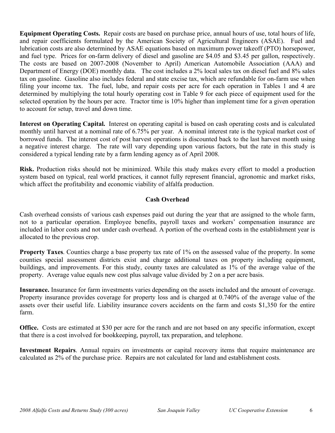**Equipment Operating Costs.** Repair costs are based on purchase price, annual hours of use, total hours of life, and repair coefficients formulated by the American Society of Agricultural Engineers (ASAE). Fuel and lubrication costs are also determined by ASAE equations based on maximum power takeoff (PTO) horsepower, and fuel type. Prices for on-farm delivery of diesel and gasoline are \$4.05 and \$3.45 per gallon, respectively. The costs are based on 2007-2008 (November to April) American Automobile Association (AAA) and Department of Energy (DOE) monthly data. The cost includes a 2% local sales tax on diesel fuel and 8% sales tax on gasoline. Gasoline also includes federal and state excise tax, which are refundable for on-farm use when filing your income tax. The fuel, lube, and repair costs per acre for each operation in Tables 1 and 4 are determined by multiplying the total hourly operating cost in Table 9 for each piece of equipment used for the selected operation by the hours per acre. Tractor time is 10% higher than implement time for a given operation to account for setup, travel and down time.

**Interest on Operating Capital.** Interest on operating capital is based on cash operating costs and is calculated monthly until harvest at a nominal rate of 6.75% per year. A nominal interest rate is the typical market cost of borrowed funds. The interest cost of post harvest operations is discounted back to the last harvest month using a negative interest charge. The rate will vary depending upon various factors, but the rate in this study is considered a typical lending rate by a farm lending agency as of April 2008.

**Risk.** Production risks should not be minimized. While this study makes every effort to model a production system based on typical, real world practices, it cannot fully represent financial, agronomic and market risks, which affect the profitability and economic viability of alfalfa production.

## **Cash Overhead**

Cash overhead consists of various cash expenses paid out during the year that are assigned to the whole farm, not to a particular operation. Employee benefits, payroll taxes and workers' compensation insurance are included in labor costs and not under cash overhead. A portion of the overhead costs in the establishment year is allocated to the previous crop.

**Property Taxes**. Counties charge a base property tax rate of 1% on the assessed value of the property. In some counties special assessment districts exist and charge additional taxes on property including equipment, buildings, and improvements. For this study, county taxes are calculated as 1% of the average value of the property. Average value equals new cost plus salvage value divided by 2 on a per acre basis.

**Insurance.** Insurance for farm investments varies depending on the assets included and the amount of coverage. Property insurance provides coverage for property loss and is charged at 0.740% of the average value of the assets over their useful life. Liability insurance covers accidents on the farm and costs \$1,350 for the entire farm.

**Office.** Costs are estimated at \$30 per acre for the ranch and are not based on any specific information, except that there is a cost involved for bookkeeping, payroll, tax preparation, and telephone.

**Investment Repairs**. Annual repairs on investments or capital recovery items that require maintenance are calculated as 2% of the purchase price. Repairs are not calculated for land and establishment costs.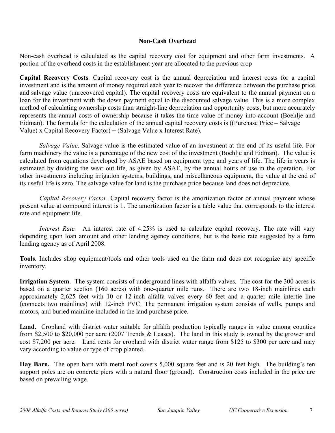## **Non-Cash Overhead**

Non-cash overhead is calculated as the capital recovery cost for equipment and other farm investments. A portion of the overhead costs in the establishment year are allocated to the previous crop

**Capital Recovery Costs**. Capital recovery cost is the annual depreciation and interest costs for a capital investment and is the amount of money required each year to recover the difference between the purchase price and salvage value (unrecovered capital). The capital recovery costs are equivalent to the annual payment on a loan for the investment with the down payment equal to the discounted salvage value. This is a more complex method of calculating ownership costs than straight-line depreciation and opportunity costs, but more accurately represents the annual costs of ownership because it takes the time value of money into account (Boehlje and Eidman). The formula for the calculation of the annual capital recovery costs is ((Purchase Price – Salvage Value) x Capital Recovery Factor) + (Salvage Value x Interest Rate).

*Salvage Value*. Salvage value is the estimated value of an investment at the end of its useful life. For farm machinery the value is a percentage of the new cost of the investment (Boehlje and Eidman). The value is calculated from equations developed by ASAE based on equipment type and years of life. The life in years is estimated by dividing the wear out life, as given by ASAE, by the annual hours of use in the operation. For other investments including irrigation systems, buildings, and miscellaneous equipment, the value at the end of its useful life is zero. The salvage value for land is the purchase price because land does not depreciate.

*Capital Recovery Factor*. Capital recovery factor is the amortization factor or annual payment whose present value at compound interest is 1. The amortization factor is a table value that corresponds to the interest rate and equipment life.

*Interest Rate.* An interest rate of 4.25% is used to calculate capital recovery. The rate will vary depending upon loan amount and other lending agency conditions, but is the basic rate suggested by a farm lending agency as of April 2008.

**Tools**. Includes shop equipment/tools and other tools used on the farm and does not recognize any specific inventory.

**Irrigation System**. The system consists of underground lines with alfalfa valves. The cost for the 300 acres is based on a quarter section (160 acres) with one-quarter mile runs. There are two 18-inch mainlines each approximately 2,625 feet with 10 or 12-inch alfalfa valves every 60 feet and a quarter mile intertie line (connects two mainlines) with 12-inch PVC. The permanent irrigation system consists of wells, pumps and motors, and buried mainline included in the land purchase price.

**Land**. Cropland with district water suitable for alfalfa production typically ranges in value among counties from \$2,500 to \$20,000 per acre (2007 Trends & Leases). The land in this study is owned by the grower and cost \$7,200 per acre. Land rents for cropland with district water range from \$125 to \$300 per acre and may vary according to value or type of crop planted.

**Hay Barn.** The open barn with metal roof covers 5,000 square feet and is 20 feet high. The building's ten support poles are on concrete piers with a natural floor (ground). Construction costs included in the price are based on prevailing wage.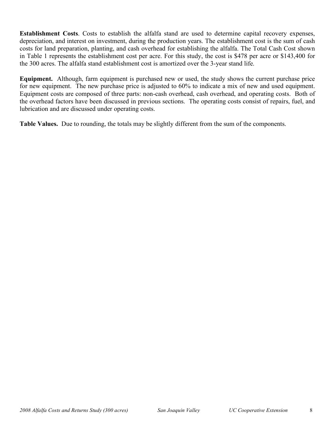**Establishment Costs**. Costs to establish the alfalfa stand are used to determine capital recovery expenses, depreciation, and interest on investment, during the production years. The establishment cost is the sum of cash costs for land preparation, planting, and cash overhead for establishing the alfalfa. The Total Cash Cost shown in Table 1 represents the establishment cost per acre. For this study, the cost is \$478 per acre or \$143,400 for the 300 acres. The alfalfa stand establishment cost is amortized over the 3-year stand life.

**Equipment.** Although, farm equipment is purchased new or used, the study shows the current purchase price for new equipment. The new purchase price is adjusted to 60% to indicate a mix of new and used equipment. Equipment costs are composed of three parts: non-cash overhead, cash overhead, and operating costs. Both of the overhead factors have been discussed in previous sections. The operating costs consist of repairs, fuel, and lubrication and are discussed under operating costs.

**Table Values.** Due to rounding, the totals may be slightly different from the sum of the components.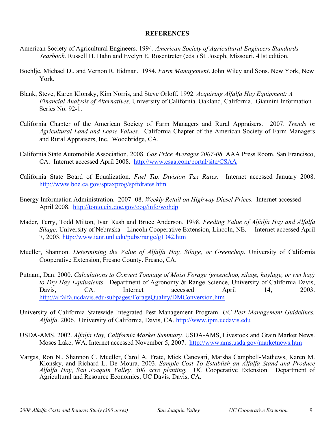### **REFERENCES**

- American Society of Agricultural Engineers. 1994. *American Society of Agricultural Engineers Standards Yearbook*. Russell H. Hahn and Evelyn E. Rosentreter (eds.) St. Joseph, Missouri. 41st edition.
- Boehlje, Michael D., and Vernon R. Eidman. 1984. *Farm Management*. John Wiley and Sons. New York, New York.
- Blank, Steve, Karen Klonsky, Kim Norris, and Steve Orloff. 1992. *Acquiring Alfalfa Hay Equipment: A Financial Analysis of Alternatives*. University of California. Oakland, California. Giannini Information Series No. 92-1.
- California Chapter of the American Society of Farm Managers and Rural Appraisers. 2007. *Trends in Agricultural Land and Lease Values.* California Chapter of the American Society of Farm Managers and Rural Appraisers, Inc. Woodbridge, CA.
- California State Automobile Association. 2008. *Gas Price Averages 2007-08.* AAA Press Room, San Francisco, CA. Internet accessed April 2008. http://www.csaa.com/portal/site/CSAA
- California State Board of Equalization. *Fuel Tax Division Tax Rates.* Internet accessed January 2008. http://www.boe.ca.gov/sptaxprog/spftdrates.htm
- Energy Information Administration. 2007- 08. *Weekly Retail on Highway Diesel Prices.* Internet accessed April 2008. http://tonto.eix.doe.gov/oog/info/wohdp
- Mader, Terry, Todd Milton, Ivan Rush and Bruce Anderson. 1998. *Feeding Value of Alfalfa Hay and Alfalfa Silage*. University of Nebraska – Lincoln Cooperative Extension, Lincoln, NE. Internet accessed April 7, 2003. http://www.ianr.unl.edu/pubs/range/g1342.htm
- Mueller, Shannon. *Determining the Value of Alfalfa Hay, Silage, or Greenchop*. University of California Cooperative Extension, Fresno County. Fresno, CA.
- Putnam, Dan. 2000. *Calculations to Convert Tonnage of Moist Forage (greenchop, silage, haylage, or wet hay) to Dry Hay Equivalents*. Department of Agronomy & Range Science, University of California Davis, Davis, CA. Internet accessed April 14, 2003. http://alfalfa.ucdavis.edu/subpages/ForageQuality/DMConversion.htm
- University of California Statewide Integrated Pest Management Program. *UC Pest Management Guidelines, Alfalfa*. 2006. University of California, Davis, CA. http://www.ipm.ucdavis.edu
- USDA-AMS. 2002. *Alfalfa Hay, California Market Summary.* USDA-AMS, Livestock and Grain Market News. Moses Lake, WA. Internet accessed November 5, 2007. http://www.ams.usda.gov/marketnews.htm
- Vargas, Ron N., Shannon C. Mueller, Carol A. Frate, Mick Canevari, Marsha Campbell-Mathews, Karen M. Klonsky, and Richard L. De Moura. 2003. *Sample Cost To Establish an Alfalfa Stand and Produce Alfalfa Hay*, *San Joaquin Valley, 300 acre planting.* UC Cooperative Extension. Department of Agricultural and Resource Economics, UC Davis. Davis, CA.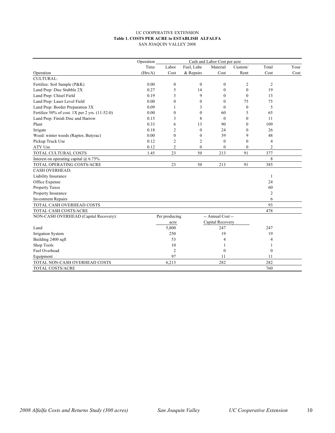#### UC COOPERATIVE EXTENSION **Table 1. COSTS PER ACRE to ESTABLISH ALFALFA** SAN JOAQUIN VALLEY 2008

|                                                | Operation<br>Cash and Labor Cost per acre |                  |              |                   |              |                  |      |  |  |
|------------------------------------------------|-------------------------------------------|------------------|--------------|-------------------|--------------|------------------|------|--|--|
|                                                | Time                                      | Labor            | Fuel, Lube   | Material          | Custom/      | Total            | Your |  |  |
| Operation                                      | (Hrs/A)                                   | Cost             | & Repairs    | Cost              | Rent         | Cost             | Cost |  |  |
| <b>CULTURAL:</b>                               |                                           |                  |              |                   |              |                  |      |  |  |
| Fertilize: Soil Sample (P&K)                   | 0.00                                      | $\boldsymbol{0}$ | $\mathbf{0}$ | $\mathbf{0}$      | 2            | 2                |      |  |  |
| Land Prep: Disc Stubble 2X                     | 0.27                                      | 5                | 14           | $\mathbf{0}$      | $\mathbf{0}$ | 19               |      |  |  |
| Land Prep: Chisel Field                        | 0.19                                      | 3                | 9            | $\theta$          | $\mathbf{0}$ | 13               |      |  |  |
| Land Prep: Laser Level Field                   | 0.00                                      | $\mathbf{0}$     | $\theta$     | $\theta$          | 75           | 75               |      |  |  |
| Land Prep: Border Preparation 3X               | 0.09                                      | 1                | 3            | $\mathbf{0}$      | $\mathbf{0}$ | 5                |      |  |  |
| Fertilize 50% of cost. 1X per 2 yrs. (11-52-0) | 0.00                                      | $\mathbf{0}$     | $\theta$     | 60                | 5            | 65               |      |  |  |
| Land Prep: Finish Disc and Harrow              | 0.15                                      | 3                | 8            | $\theta$          | $\theta$     | 11               |      |  |  |
| Plant                                          | 0.33                                      | 6                | 13           | 90                | $\theta$     | 109              |      |  |  |
| Irrigate                                       | 0.18                                      | $\overline{2}$   | $\mathbf{0}$ | 24                | $\mathbf{0}$ | 26               |      |  |  |
| Weed: winter weeds (Raptor, Butyrac)           | 0.00                                      | $\theta$         | $\mathbf{0}$ | 39                | 9            | 48               |      |  |  |
| Pickup Truck Use                               | 0.12                                      | $\overline{2}$   | 2            | $\mathbf{0}$      | $\mathbf{0}$ | $\overline{4}$   |      |  |  |
| ATV Use                                        | 0.12                                      | $\overline{c}$   | $\mathbf{0}$ | $\boldsymbol{0}$  | $\mathbf{0}$ | 2                |      |  |  |
| TOTAL CULTURAL COSTS                           | 1.45                                      | 23               | 50           | 213               | 91           | 377              |      |  |  |
| Interest on operating capital $@$ 6.75%        |                                           |                  |              |                   |              | 8                |      |  |  |
| TOTAL OPERATING COSTS/ACRE                     |                                           | 23               | 50           | 213               | 91           | 385              |      |  |  |
| <b>CASH OVERHEAD:</b>                          |                                           |                  |              |                   |              |                  |      |  |  |
| Liability Insurance                            |                                           |                  |              |                   |              | 1                |      |  |  |
| Office Expense                                 |                                           |                  |              |                   |              | 24               |      |  |  |
| Property Taxes                                 |                                           |                  |              |                   |              | 60               |      |  |  |
| Property Insurance                             |                                           |                  |              |                   |              | $\mathfrak{2}$   |      |  |  |
| <b>Investment Repairs</b>                      |                                           |                  |              |                   |              | 6                |      |  |  |
| TOTAL CASH OVERHEAD COSTS                      |                                           |                  |              |                   |              | 93               |      |  |  |
| TOTAL CASH COSTS/ACRE                          |                                           |                  |              |                   |              | 478              |      |  |  |
| NON-CASH OVERHEAD (Capital Recovery):          |                                           | Per producing    |              | -- Annual Cost -- |              |                  |      |  |  |
|                                                |                                           | acre             |              | Capital Recovery  |              |                  |      |  |  |
| Land                                           |                                           | 5,800            |              | 247               |              | 247              |      |  |  |
| Irrigation System                              |                                           | 250              |              | 19                |              | 19               |      |  |  |
| Building 2400 sqft                             |                                           | 53               |              | $\overline{4}$    |              | 4                |      |  |  |
| Shop Tools                                     |                                           | 10               |              | -1                |              | 1                |      |  |  |
| Fuel Overhead                                  |                                           | $\overline{2}$   |              | $\mathbf{0}$      |              | $\boldsymbol{0}$ |      |  |  |
| Equipment                                      |                                           | 97               |              | 11                |              | 11               |      |  |  |
| TOTAL NON-CASH OVERHEAD COSTS                  |                                           | 6,213            |              | 282               |              | 282              |      |  |  |
| TOTAL COSTS/ACRE                               |                                           |                  |              |                   |              | 760              |      |  |  |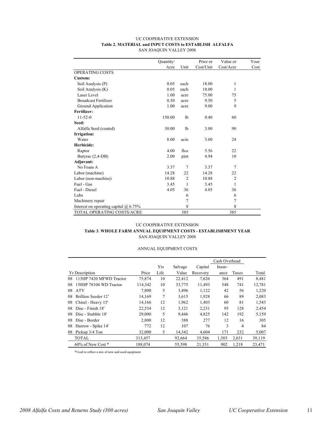#### UC COOPERATIVE EXTENSION **Table 2. MATERIAL and INPUT COSTS to ESTABLISH ALFALFA** SAN JOAQUIN VALLEY 2008

|                                         | Quantity/ |                | Price or  | Value or       | Your |
|-----------------------------------------|-----------|----------------|-----------|----------------|------|
|                                         | Acre      | Unit           | Cost/Unit | Cost/Acre      | Cost |
| OPERATING COSTS                         |           |                |           |                |      |
| Custom:                                 |           |                |           |                |      |
| Soil Analysis (P)                       | 0.05      | each           | 18.00     | 1              |      |
| Soil Analysis (K)                       | 0.05      | each           | 18.00     | 1              |      |
| Laser Level                             | 1.00      | acre           | 75.00     | 75             |      |
| <b>Broadcast Fertilizer</b>             | 0.50      | acre           | 9.50      | 5              |      |
| Ground Application                      | 1.00      | acre           | 9.00      | 9              |      |
| Fertilizer:                             |           |                |           |                |      |
| $11 - 52 - 0$                           | 150.00    | 1 <sub>b</sub> | 0.40      | 60             |      |
| Seed:                                   |           |                |           |                |      |
| Alfalfa Seed (coated)                   | 30.00     | 1 <sub>b</sub> | 3.00      | 90             |      |
| Irrigation:                             |           |                |           |                |      |
| Water                                   | 8.00      | acin           | 3.00      | 24             |      |
| Herbicide:                              |           |                |           |                |      |
| Raptor                                  | 4.00      | floz           | 5.56      | 22             |      |
| Butyrac (2,4-DB)                        | 2.00      | pint           | 4.94      | 10             |      |
| Adjuvant:                               |           |                |           |                |      |
| No Foam A                               | 3.37      | 7              | 3.37      | 7              |      |
| Labor (machine)                         | 14.28     | 22             | 14.28     | 22             |      |
| Labor (non-machine)                     | 10.88     | $\overline{2}$ | 10.88     | $\overline{c}$ |      |
| Fuel - Gas                              | 3.45      | 1              | 3.45      | 1              |      |
| Fuel - Diesel                           | 4.05      | 36             | 4.05      | 36             |      |
| Lube                                    |           | 6              |           | 6              |      |
| Machinery repair                        |           | 7              |           | 7              |      |
| Interest on operating capital $@$ 6.75% |           | 8              |           | 8              |      |
| TOTAL OPERATING COSTS/ACRE              |           | 385            |           | 385            |      |

#### UC COOPERATIVE EXTENSION **Table 3. WHOLE FARM ANNUAL EQUIPMENT COSTS - ESTABLISHMENT YEAR** SAN JOAQUIN VALLEY 2008

#### ANNUAL EQUIPMENT COSTS

|                            |         |            |         |          | Cash Overhead |                |        |
|----------------------------|---------|------------|---------|----------|---------------|----------------|--------|
|                            |         | <b>Yrs</b> | Salvage | Capital  | Insur-        |                |        |
| <b>Yr Description</b>      | Price   | Life       | Value   | Recovery | ance          | Taxes          | Total  |
| 08 115HP 7420 MFWD Tractor | 75,874  | 10         | 22,412  | 7,626    | 364           | 491            | 8,481  |
| 08 150HP 78104 WD Tractor  | 114,342 | 10         | 33,775  | 11,493   | 548           | 741            | 12,781 |
| 08 ATV                     | 7,800   | 5          | 3,496   | 1,122    | 42            | 56             | 1,220  |
| 08 Brillion Seeder 12'     | 14,169  | 7          | 3,615   | 1,928    | 66            | 89             | 2,083  |
| 08 Chisel - Heavy 15'      | 14,166  | 12         | 1,962   | 1,403    | 60            | 81             | 1,543  |
| 08 Disc - Finish 18'       | 22,534  | 12         | 3,121   | 2,231    | 95            | 128            | 2,454  |
| 08 Disc - Stubble 18'      | 29,000  | 5          | 9,446   | 4,825    | 142           | 192            | 5,159  |
| 08 Disc - Border           | 2,800   | 12         | 388     | 277      | 12            | 16             | 305    |
| 08 Harrow - Spike 14'      | 772     | 12         | 107     | 76       | 3             | $\overline{4}$ | 84     |
| 08 Pickup 3/4 Ton          | 32,000  | 5          | 14,342  | 4,604    | 171           | 232            | 5,007  |
| <b>TOTAL</b>               | 313,457 |            | 92,664  | 35,586   | 1,503         | 2,031          | 39,119 |
| $60\%$ of New Cost $*$     | 188,074 |            | 55,598  | 21,351   | 902           | 1,218          | 23,471 |

\*Used to reflect a mix of new and used equipment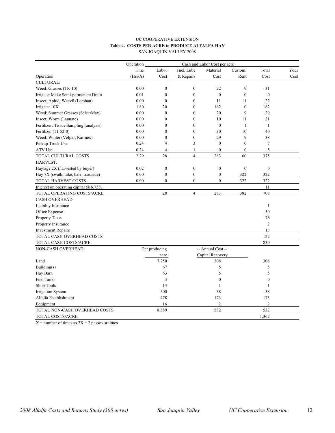#### UC COOPERATIVE EXTENSION **Table 4. COSTS PER ACRE to PRODUCE ALFALFA HAY** SAN JOAQUIN VALLEY 2008

|                                         | Operation<br>Cash and Labor Cost per acre |                  |                  |                   |                  |                  |      |  |  |
|-----------------------------------------|-------------------------------------------|------------------|------------------|-------------------|------------------|------------------|------|--|--|
|                                         | Time                                      | Labor            | Fuel, Lube       | Material          | Custom/          | Total            | Your |  |  |
| Operation                               | (Hrs/A)                                   | Cost             | & Repairs        | Cost              | Rent             | Cost             | Cost |  |  |
| <b>CULTURAL:</b>                        |                                           |                  |                  |                   |                  |                  |      |  |  |
| Weed: Grasses (TR-10)                   | 0.00                                      | $\boldsymbol{0}$ | $\boldsymbol{0}$ | 22                | 9                | 31               |      |  |  |
| Irrigate: Make Semi-permanent Drain     | 0.01                                      | $\mathbf{0}$     | $\mathbf{0}$     | $\mathbf{0}$      | $\mathbf{0}$     | $\mathbf{0}$     |      |  |  |
| Insect: Aphid, Weevil (Lorsban)         | 0.00                                      | $\boldsymbol{0}$ | $\boldsymbol{0}$ | 11                | 11               | 22               |      |  |  |
| Irrigate: 10X                           | 1.80                                      | 20               | $\boldsymbol{0}$ | 162               | $\boldsymbol{0}$ | 182              |      |  |  |
| Weed: Summer Grasses (SelectMax)        | 0.00                                      | $\mathbf{0}$     | $\mathbf{0}$     | 20                | 9                | 29               |      |  |  |
| Insect; Worm (Lannate)                  | 0.00                                      | $\boldsymbol{0}$ | $\mathbf{0}$     | 10                | 11               | 21               |      |  |  |
| Fertilizer: Tissue Sampling (analysis)  | 0.00                                      | $\overline{0}$   | $\mathbf{0}$     | $\mathbf{0}$      | $\mathbf{1}$     | $\mathbf{1}$     |      |  |  |
| Fertilize: (11-52-0)                    | 0.00                                      | $\mathbf{0}$     | $\mathbf{0}$     | 30                | 10               | 40               |      |  |  |
| Weed: Winter (Velpar, Karmex)           | 0.00                                      | $\theta$         | $\boldsymbol{0}$ | 29                | 9                | 38               |      |  |  |
| Pickup Truck Use                        | 0.24                                      | $\overline{4}$   | 3                | $\mathbf{0}$      | $\boldsymbol{0}$ | $\tau$           |      |  |  |
| ATV Use                                 | 0.24                                      | 4                | $\mathbf{1}$     | $\boldsymbol{0}$  | $\mathbf{0}$     | 5                |      |  |  |
| TOTAL CULTURAL COSTS                    | 2.29                                      | 28               | $\overline{4}$   | 283               | 60               | 375              |      |  |  |
| HARVEST:                                |                                           |                  |                  |                   |                  |                  |      |  |  |
| Haylage 2X (harvested by buyer)         | 0.02                                      | $\boldsymbol{0}$ | $\boldsymbol{0}$ | $\boldsymbol{0}$  | $\boldsymbol{0}$ | $\boldsymbol{0}$ |      |  |  |
| Hay 7X (swath, rake, bale, roadside)    | 0.00                                      | $\boldsymbol{0}$ | $\boldsymbol{0}$ | $\boldsymbol{0}$  | 322              | 322              |      |  |  |
| TOTAL HARVEST COSTS                     | 0.00                                      | $\theta$         | $\theta$         | $\overline{0}$    | 322              | 322              |      |  |  |
| Interest on operating capital $@$ 6.75% |                                           |                  |                  |                   |                  | 11               |      |  |  |
| TOTAL OPERATING COSTS/ACRE              |                                           | $28\,$           | $\overline{4}$   | 283               | 382              | 708              |      |  |  |
| <b>CASH OVERHEAD:</b>                   |                                           |                  |                  |                   |                  |                  |      |  |  |
| Liability Insurance                     |                                           |                  |                  |                   |                  | 1                |      |  |  |
| Office Expense                          |                                           |                  |                  |                   |                  | 30               |      |  |  |
| Property Taxes                          |                                           |                  |                  |                   |                  | 76               |      |  |  |
| Property Insurance                      |                                           |                  |                  |                   |                  | $\overline{c}$   |      |  |  |
| <b>Investment Repairs</b>               |                                           |                  |                  |                   |                  | 13               |      |  |  |
| TOTAL CASH OVERHEAD COSTS               |                                           |                  |                  |                   |                  | 122              |      |  |  |
| TOTAL CASH COSTS/ACRE                   |                                           |                  |                  |                   |                  | 830              |      |  |  |
| <b>NON-CASH OVERHEAD:</b>               |                                           | Per producing    |                  | -- Annual Cost -- |                  |                  |      |  |  |
|                                         |                                           | acre             |                  | Capital Recovery  |                  |                  |      |  |  |
| Land                                    |                                           | 7,250            |                  | 308               |                  | 308              |      |  |  |
| Building(s)                             |                                           | 67               |                  | 5                 |                  | 5                |      |  |  |
| Hay Barn                                |                                           | 63               |                  | 5                 |                  | 5                |      |  |  |
| <b>Fuel Tanks</b>                       |                                           | 3                |                  | $\boldsymbol{0}$  |                  | $\mathbf{0}$     |      |  |  |
| Shop Tools                              |                                           | 13               |                  | 1                 |                  | 1                |      |  |  |
| Irrigation System                       |                                           | 500              |                  | 38                |                  | 38               |      |  |  |
| Alfalfa Establishment                   |                                           | 478              |                  | 173               |                  | 173              |      |  |  |
| Equipment                               |                                           | 16               |                  | $\mathfrak{2}$    |                  | $\overline{2}$   |      |  |  |
| TOTAL NON-CASH OVERHEAD COSTS           |                                           | 8,389            |                  | 532               |                  | 532              |      |  |  |
| <b>TOTAL COSTS/ACRE</b>                 |                                           |                  |                  |                   |                  | 1.362            |      |  |  |

 $X =$  number of times as  $2X = 2$  passes or times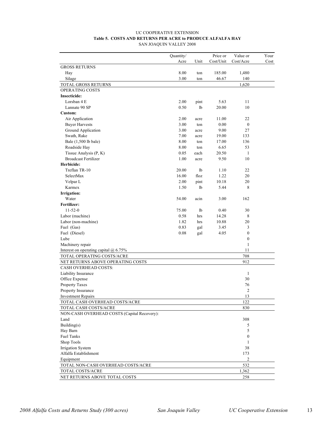#### UC COOPERATIVE EXTENSION **Table 5. COSTS AND RETURNS PER ACRE to PRODUCE ALFALFA HAY** SAN JOAQUIN VALLEY 2008

|                                             | Quantity/      |                | Price or  | Value or         | Your |
|---------------------------------------------|----------------|----------------|-----------|------------------|------|
|                                             | Acre           | Unit           | Cost/Unit | Cost/Acre        | Cost |
| <b>GROSS RETURNS</b>                        |                |                |           |                  |      |
| Hay                                         | 8.00           | ton            | 185.00    | 1,480            |      |
| Silage                                      | 3.00           | ton            | 46.67     | 140              |      |
| TOTAL GROSS RETURNS                         |                |                |           | 1,620            |      |
| OPERATING COSTS                             |                |                |           |                  |      |
| <b>Insecticide:</b>                         |                |                |           |                  |      |
| Lorsban 4 E                                 | 2.00           | pint           | 5.63      | 11               |      |
| Lannate 90 SP                               | 0.50           | 1 <sub>b</sub> | 20.00     | 10               |      |
| Custom:                                     |                |                |           |                  |      |
| Air Application                             | 2.00           | acre           | 11.00     | 22               |      |
| <b>Buyer Harvests</b>                       | 3.00           | ton            | 0.00      | $\boldsymbol{0}$ |      |
| Ground Application                          | 3.00           | acre           | 9.00      | 27               |      |
| Swath, Rake                                 | 7.00           | acre           | 19.00     | 133              |      |
| Bale (1,500 lb bale)                        | 8.00           | ton            | 17.00     | 136              |      |
| Roadside Hay                                | 8.00           | ton            | 6.65      | 53               |      |
| Tissue Analysis (P, K)                      | 0.05           | each           | 20.50     | $\mathbf{1}$     |      |
| <b>Broadcast Fertilizer</b>                 | 1.00           | acre           | 9.50      | 10               |      |
| Herbicide:<br>Treflan TR-10                 |                |                | 1.10      |                  |      |
| SelectMax                                   | 20.00<br>16.00 | 1b<br>floz     | 1.22      | 22<br>20         |      |
| Velpar L                                    | 2.00           | pint           | 10.18     | 20               |      |
| Karmex                                      | 1.50           | 1b             | 5.44      | 8                |      |
| <b>Irrigation:</b>                          |                |                |           |                  |      |
| Water                                       | 54.00          | acin           | 3.00      | 162              |      |
| Fertilizer:                                 |                |                |           |                  |      |
| $11 - 52 - 0$                               | 75.00          | 1b             | 0.40      | 30               |      |
| Labor (machine)                             | 0.58           | hrs            | 14.28     | 8                |      |
| Labor (non-machine)                         | 1.82           | hrs            | 10.88     | 20               |      |
| Fuel (Gas)                                  | 0.83           | gal            | 3.45      | 3                |      |
| Fuel (Diesel)                               | 0.08           | gal            | 4.05      | $\boldsymbol{0}$ |      |
| Lube                                        |                |                |           | $\boldsymbol{0}$ |      |
| Machinery repair                            |                |                |           | $\mathbf{1}$     |      |
| Interest on operating capital $@$ 6.75%     |                |                |           | 11               |      |
| TOTAL OPERATING COSTS/ACRE                  |                |                |           | 708              |      |
| NET RETURNS ABOVE OPERATING COSTS           |                |                |           | 912              |      |
| <b>CASH OVERHEAD COSTS:</b>                 |                |                |           |                  |      |
| Liability Insurance                         |                |                |           | $\mathbf{1}$     |      |
| Office Expense                              |                |                |           | 30               |      |
| Property Taxes                              |                |                |           | 76               |      |
| Property Insurance                          |                |                |           | $\mathfrak{2}$   |      |
| <b>Investment Repairs</b>                   |                |                |           | 13               |      |
| TOTAL CASH OVERHEAD COSTS/ACRE              |                |                |           | 122              |      |
| TOTAL CASH COSTS/ACRE                       |                |                |           | 830              |      |
| NON-CASH OVERHEAD COSTS (Capital Recovery): |                |                |           |                  |      |
| Land                                        |                |                |           | 308              |      |
| Building $(s)$                              |                |                |           | 5                |      |
| Hay Barn                                    |                |                |           | 5                |      |
| <b>Fuel Tanks</b>                           |                |                |           | 0                |      |
| Shop Tools                                  |                |                |           | 1                |      |
| <b>Irrigation System</b>                    |                |                |           | 38               |      |
| Alfalfa Establishment                       |                |                |           | 173              |      |
| Equipment                                   |                |                |           | 2                |      |
| TOTAL NON-CASH OVERHEAD COSTS/ACRE          |                |                |           | 532              |      |
| TOTAL COSTS/ACRE                            |                |                |           | 1,362            |      |
| NET RETURNS ABOVE TOTAL COSTS               |                |                |           | 258              |      |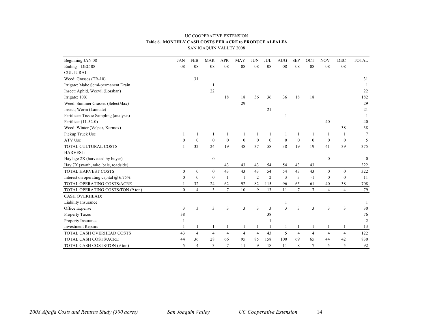#### UC COOPERATIVE EXTENSION **Table 6. MONTHLY CASH COSTS PER ACRE to PRODUCE ALFALFA** SAN JOAQUIN VALLEY 2008

| Beginning JAN 08                        | <b>JAN</b>   | <b>FEB</b>     | <b>MAR</b>       | <b>APR</b>       | <b>MAY</b>       | <b>JUN</b>     | <b>JUL</b>     | <b>AUG</b>       | <b>SEP</b>     | <b>OCT</b>     | <b>NOV</b>       | <b>DEC</b>     | <b>TOTAL</b>     |
|-----------------------------------------|--------------|----------------|------------------|------------------|------------------|----------------|----------------|------------------|----------------|----------------|------------------|----------------|------------------|
| Ending DEC 08                           | 08           | 08             | ${\bf 08}$       | 08               | 08               | 08             | 08             | 08               | 08             | ${\bf 08}$     | 08               | 08             |                  |
| <b>CULTURAL:</b>                        |              |                |                  |                  |                  |                |                |                  |                |                |                  |                |                  |
| Weed: Grasses (TR-10)                   |              | 31             |                  |                  |                  |                |                |                  |                |                |                  |                | 31               |
| Irrigate: Make Semi-permanent Drain     |              |                | -1               |                  |                  |                |                |                  |                |                |                  |                |                  |
| Insect: Aphid, Weevil (Lorsban)         |              |                | 22               |                  |                  |                |                |                  |                |                |                  |                | 22               |
| Irrigate: 10X                           |              |                |                  | 18               | 18               | 36             | 36             | 36               | 18             | 18             |                  |                | 182              |
| Weed: Summer Grasses (SelectMax)        |              |                |                  |                  | 29               |                |                |                  |                |                |                  |                | 29               |
| Insect; Worm (Lannate)                  |              |                |                  |                  |                  |                | 21             |                  |                |                |                  |                | 21               |
| Fertilizer: Tissue Sampling (analysis)  |              |                |                  |                  |                  |                |                |                  |                |                |                  |                |                  |
| Fertilize: (11-52-0)                    |              |                |                  |                  |                  |                |                |                  |                |                | 40               |                | 40               |
| Weed: Winter (Velpar, Karmex)           |              |                |                  |                  |                  |                |                |                  |                |                |                  | 38             | 38               |
| Pickup Truck Use                        |              | $\overline{1}$ | -1               | 1                | -1               | 1              | $\mathbf{1}$   | 1                |                |                | -1               | 1              | $\overline{7}$   |
| ATV Use                                 | $\theta$     | $\mathbf{0}$   | $\boldsymbol{0}$ | $\boldsymbol{0}$ | $\boldsymbol{0}$ | $\mathbf{0}$   | $\mathbf{0}$   | $\boldsymbol{0}$ | $\mathbf{0}$   | $\mathbf{0}$   | $\mathbf{0}$     | $\mathbf{0}$   | 5                |
| TOTAL CULTURAL COSTS                    |              | 32             | 24               | 19               | 48               | 37             | 58             | 38               | 19             | 19             | 41               | 39             | 375              |
| HARVEST:                                |              |                |                  |                  |                  |                |                |                  |                |                |                  |                |                  |
| Haylage 2X (harvested by buyer)         |              |                | $\boldsymbol{0}$ |                  |                  |                |                |                  |                |                | $\boldsymbol{0}$ |                | $\boldsymbol{0}$ |
| Hay 7X (swath, rake, bale, roadside)    |              |                |                  | 43               | 43               | 43             | 54             | 54               | 43             | 43             |                  |                | 322              |
| TOTAL HARVEST COSTS                     | $\mathbf{0}$ | $\Omega$       | $\mathbf{0}$     | 43               | 43               | 43             | 54             | 54               | 43             | 43             | $\theta$         | $\Omega$       | 322              |
| Interest on operating capital $@$ 6.75% | $\mathbf{0}$ | $\Omega$       | $\mathbf{0}$     | $\mathbf{1}$     | $\mathbf{1}$     | $\overline{2}$ | $\overline{2}$ | 3                | $\mathfrak{Z}$ | $-1$           | $\theta$         | $\theta$       | 11               |
| TOTAL OPERATING COSTS/ACRE              |              | 32             | 24               | 62               | 92               | 82             | 115            | 96               | 65             | 61             | 40               | 38             | 708              |
| TOTAL OPERATING COSTS/TON (9 ton)       | $\theta$     | $\overline{4}$ | 3                | $\overline{7}$   | 10               | 9              | 13             | 11               | $\tau$         | $\overline{7}$ | $\overline{4}$   | $\overline{4}$ | 79               |
| <b>CASH OVERHEAD:</b>                   |              |                |                  |                  |                  |                |                |                  |                |                |                  |                |                  |
| Liability Insurance                     |              |                |                  |                  |                  |                |                | $\mathbf{1}$     |                |                |                  |                |                  |
| Office Expense                          | 3            | 3              | 3                | 3                | 3                | 3              | 3              | 3                | 3              | 3              | 3                | 3              | 30               |
| Property Taxes                          | 38           |                |                  |                  |                  |                | 38             |                  |                |                |                  |                | 76               |
| Property Insurance                      | 1            |                |                  |                  |                  |                |                |                  |                |                |                  |                | $\overline{2}$   |
| <b>Investment Repairs</b>               |              |                |                  |                  |                  |                |                | $\mathbf{1}$     |                |                |                  |                | 13               |
| TOTAL CASH OVERHEAD COSTS               | 43           | $\overline{4}$ | $\overline{4}$   | $\overline{4}$   | $\overline{4}$   | $\overline{4}$ | 43             | 5                | $\overline{4}$ | $\overline{4}$ | $\overline{4}$   | $\overline{4}$ | 122              |
| TOTAL CASH COSTS/ACRE                   | 44           | 36             | 28               | 66               | 95               | 85             | 158            | 100              | 69             | 65             | 44               | 42             | 830              |
| TOTAL CASH COSTS/TON (9 ton)            | 5            | $\overline{4}$ | $\overline{3}$   | $\overline{7}$   | 11               | 9              | 18             | 11               | 8              | $\overline{7}$ | 5                | 5              | 92               |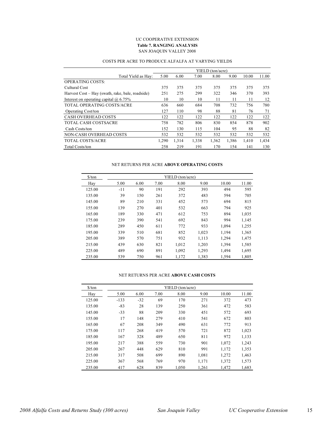#### UC COOPERATIVE EXTENSION **Table 7. RANGING ANALYSIS** SAN JOAQUIN VALLEY 2008

|                                                  |       |       |       | YIELD (ton/acre) |       |       |       |
|--------------------------------------------------|-------|-------|-------|------------------|-------|-------|-------|
| Total Yield as Hay:                              | 5.00  | 6.00  | 7.00  | 8.00             | 9.00  | 10.00 | 11.00 |
| <b>OPERATING COSTS:</b>                          |       |       |       |                  |       |       |       |
| Cultural Cost                                    | 375   | 375   | 375   | 375              | 375   | 375   | 375   |
| Harvest Cost – Hay (swath, rake, bale, roadside) | 251   | 275   | 299   | 322              | 346   | 370   | 393   |
| Interest on operating capital $\omega$ 6.75%     | 10    | 10    | 10    | 11               | 11    | 11    | 12    |
| TOTAL OPERATING COSTS/ACRE                       | 636   | 660   | 684   | 708              | 732   | 756   | 780   |
| <b>Operating Cost/ton</b>                        | 127   | 110   | 98    | 88               | 81    | 76    | 71    |
| <b>CASH OVERHEAD COSTS</b>                       | 122   | 122   | 122   | 122              | 122   | 122   | 122   |
| <b>TOTAL CASH COSTSACRE</b>                      | 758   | 782   | 806   | 830              | 854   | 878   | 902   |
| Cash Costs/ton                                   | 152   | 130   | 115   | 104              | 95    | 88    | 82    |
| NON-CASH OVERHEAD COSTS                          | 532   | 532   | 532   | 532              | 532   | 532   | 532   |
| <b>TOTAL COSTS/ACRE</b>                          | 1.290 | 1,314 | 1,338 | 1,362            | 1,386 | 1,410 | 1,434 |
| <b>Total Costs/ton</b>                           | 258   | 219   | 191   | 170              | 154   | 141   | 130   |

#### COSTS PER ACRE TO PRODUCE ALFALFA AT VARYING YIELDS

#### NET RETURNS PER ACRE **ABOVE OPERATING COSTS**

| $\frac{\text{S}}{\text{ton}}$ | YIELD (ton/acre) |      |      |       |       |       |       |  |  |  |  |  |
|-------------------------------|------------------|------|------|-------|-------|-------|-------|--|--|--|--|--|
| Hay                           | 5.00             | 6.00 | 7.00 | 8.00  | 9.00  | 10.00 | 11.00 |  |  |  |  |  |
| 125.00                        | $-11$            | 90   | 191  | 292   | 393   | 494   | 595   |  |  |  |  |  |
| 135.00                        | 39               | 150  | 261  | 372   | 483   | 594   | 705   |  |  |  |  |  |
| 145.00                        | 89               | 210  | 331  | 452   | 573   | 694   | 815   |  |  |  |  |  |
| 155.00                        | 139              | 270  | 401  | 532   | 663   | 794   | 925   |  |  |  |  |  |
| 165.00                        | 189              | 330  | 471  | 612   | 753   | 894   | 1,035 |  |  |  |  |  |
| 175.00                        | 239              | 390  | 541  | 692   | 843   | 994   | 1,145 |  |  |  |  |  |
| 185.00                        | 289              | 450  | 611  | 772   | 933   | 1,094 | 1,255 |  |  |  |  |  |
| 195.00                        | 339              | 510  | 681  | 852   | 1,023 | 1,194 | 1,365 |  |  |  |  |  |
| 205.00                        | 389              | 570  | 751  | 932   | 1,113 | 1,294 | 1,475 |  |  |  |  |  |
| 215.00                        | 439              | 630  | 821  | 1,012 | 1,203 | 1,394 | 1,585 |  |  |  |  |  |
| 225.00                        | 489              | 690  | 891  | 1,092 | 1,293 | 1,494 | 1,695 |  |  |  |  |  |
| 235.00                        | 539              | 750  | 961  | 1,172 | 1,383 | 1,594 | 1,805 |  |  |  |  |  |

#### NET RETURNS PER ACRE **ABOVE CASH COSTS**

| $\frac{\text{S}}{\text{ton}}$ |        |       |      | YIELD (ton/acre) |       |       |       |
|-------------------------------|--------|-------|------|------------------|-------|-------|-------|
| Hay                           | 5.00   | 6.00  | 7.00 | 8.00             | 9.00  | 10.00 | 11.00 |
| 125.00                        | $-133$ | $-32$ | 69   | 170              | 271   | 372   | 473   |
| 135.00                        | $-83$  | 28    | 139  | 250              | 361   | 472   | 583   |
| 145.00                        | $-33$  | 88    | 209  | 330              | 451   | 572   | 693   |
| 155.00                        | 17     | 148   | 279  | 410              | 541   | 672   | 803   |
| 165.00                        | 67     | 208   | 349  | 490              | 631   | 772   | 913   |
| 175.00                        | 117    | 268   | 419  | 570              | 721   | 872   | 1,023 |
| 185.00                        | 167    | 328   | 489  | 650              | 811   | 972   | 1,133 |
| 195.00                        | 217    | 388   | 559  | 730              | 901   | 1,072 | 1,243 |
| 205.00                        | 267    | 448   | 629  | 810              | 991   | 1,172 | 1,353 |
| 215.00                        | 317    | 508   | 699  | 890              | 1,081 | 1,272 | 1,463 |
| 225.00                        | 367    | 568   | 769  | 970              | 1,171 | 1,372 | 1,573 |
| 235.00                        | 417    | 628   | 839  | 1,050            | 1,261 | 1,472 | 1,683 |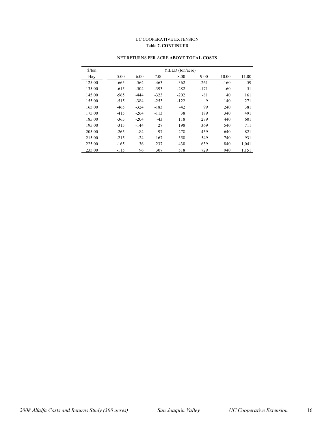#### UC COOPERATIVE EXTENSION **Table 7. CONTINUED**

| \$/ton |        |        |        | YIELD (ton/acre) |        |        |       |
|--------|--------|--------|--------|------------------|--------|--------|-------|
| Hay    | 5.00   | 6.00   | 7.00   | 8.00             | 9.00   | 10.00  | 11.00 |
| 125.00 | $-665$ | $-564$ | $-463$ | $-362$           | $-261$ | $-160$ | $-59$ |
| 135.00 | $-615$ | $-504$ | $-393$ | $-282$           | $-171$ | $-60$  | 51    |
| 145.00 | $-565$ | $-444$ | $-323$ | $-202$           | $-81$  | 40     | 161   |
| 155.00 | $-515$ | $-384$ | $-253$ | $-122$           | 9      | 140    | 271   |
| 165.00 | $-465$ | $-324$ | $-183$ | $-42$            | 99     | 240    | 381   |
| 175.00 | $-415$ | $-264$ | $-113$ | 38               | 189    | 340    | 491   |
| 185.00 | $-365$ | $-204$ | $-43$  | 118              | 279    | 440    | 601   |
| 195.00 | $-315$ | $-144$ | 27     | 198              | 369    | 540    | 711   |
| 205.00 | $-265$ | $-84$  | 97     | 278              | 459    | 640    | 821   |
| 215.00 | $-215$ | $-24$  | 167    | 358              | 549    | 740    | 931   |
| 225.00 | $-165$ | 36     | 237    | 438              | 639    | 840    | 1,041 |
| 235.00 | $-115$ | 96     | 307    | 518              | 729    | 940    | 1,151 |

#### NET RETURNS PER ACRE **ABOVE TOTAL COSTS**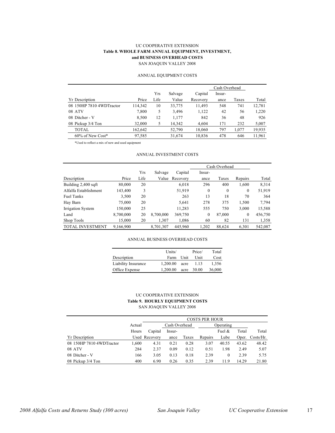### UC COOPERATIVE EXTENSION **Table 8. WHOLE FARM ANNUAL EQUIPMENT, INVESTMENT, and BUSINESS OVERHEAD COSTS**

SAN JOAQUIN VALLEY 2008

#### ANNUAL EQUIPMENT COSTS

|                          |         |      |         |          | Cash Overhead |       |        |
|--------------------------|---------|------|---------|----------|---------------|-------|--------|
|                          |         | Yrs  | Salvage | Capital  | Insur-        |       |        |
| <b>Yr</b> Description    | Price   | Life | Value   | Recovery | ance          | Taxes | Total  |
| 08 150HP 7810 4WDTractor | 114,342 | 10   | 33,775  | 11,493   | 548           | 741   | 12,781 |
| 08 ATV                   | 7,800   | 5    | 3,496   | 1,122    | 42            | 56    | 1,220  |
| 08 Ditcher - V           | 8,500   | 12   | 1,177   | 842      | 36            | 48    | 926    |
| 08 Pickup 3/4 Ton        | 32,000  | 5    | 14,342  | 4,604    | 171           | 232   | 5,007  |
| TOTAL                    | 162,642 |      | 52,790  | 18,060   | 797           | 1,077 | 19,935 |
| $60\%$ of New Cost*      | 97,585  |      | 31,674  | 10,836   | 478           | 646   | 11,961 |

\*Used to reflect a mix of new and used equipment

#### ANNUAL INVESTMENT COSTS

|                         |           |      |           |          | Cash Overhead |              |              |         |
|-------------------------|-----------|------|-----------|----------|---------------|--------------|--------------|---------|
|                         |           | Yrs  | Salvage   | Capital  | Insur-        |              |              |         |
| Description             | Price     | Life | Value     | Recovery | ance          | Taxes        | Repairs      | Total   |
| Building 2,400 sqft     | 80,000    | 20   |           | 6,018    | 296           | 400          | 1,600        | 8,314   |
| Alfalfa Establishment   | 143,400   | 3    |           | 51,919   | $\mathbf{0}$  | $\mathbf{0}$ | $\mathbf{0}$ | 51,919  |
| <b>Fuel Tanks</b>       | 3,500     | 20   |           | 263      | 13            | 18           | 70           | 364     |
| Hay Barn                | 75,000    | 20   |           | 5,641    | 278           | 375          | 1,500        | 7,794   |
| Irrigation System       | 150,000   | 25   |           | 11,283   | 555           | 750          | 3,000        | 15,588  |
| Land                    | 8,700,000 | 20   | 8,700,000 | 369,750  | 0             | 87,000       | $\mathbf{0}$ | 456,750 |
| Shop Tools              | 15,000    | 20   | 1,307     | 1,086    | 60            | 82           | 131          | 1,358   |
| <b>TOTAL INVESTMENT</b> | 9,166,900 |      | 8,701,307 | 445,960  | 1,202         | 88,624       | 6,301        | 542,087 |

#### ANNUAL BUSINESS OVERHEAD COSTS

|                     | Units/   |      | Price/ | Total  |
|---------------------|----------|------|--------|--------|
| Description         | Farm     | Unit | Unit   | Cost   |
| Liability Insurance | 1.200.00 | acre | -1.13  | 1.356  |
| Office Expense      | 1.200.00 | acre | 30.00  | 36,000 |

#### UC COOPERATIVE EXTENSION **Table 9. HOURLY EQUIPMENT COSTS** SAN JOAQUIN VALLEY 2008

|                          |        | <b>COSTS PER HOUR</b> |        |           |         |           |       |                 |  |
|--------------------------|--------|-----------------------|--------|-----------|---------|-----------|-------|-----------------|--|
|                          | Actual | Cash Overhead         |        | Operating |         |           |       |                 |  |
|                          | Hours  | Capital               | Insur- |           |         | Fuel $\&$ | Total | Total           |  |
| <b>Yr Description</b>    |        | Used Recovery         | ance   | Taxes     | Repairs | Lube      |       | Oper. Costs/Hr. |  |
| 08 150HP 7810 4WDTractor | 1,600  | 4.31                  | 0.21   | 0.28      | 3.07    | 40.55     | 43.62 | 48.42           |  |
| 08 ATV                   | 284    | 2.37                  | 0.09   | 0.12      | 0.51    | 1.98      | 2.49  | 5.07            |  |
| 08 Ditcher - V           | 166    | 3.05                  | 0.13   | 0.18      | 2.39    | $\left($  | 2.39  | 5.75            |  |
| 08 Pickup 3/4 Ton        | 400    | 6.90                  | 0.26   | 0.35      | 2.39    | 11.9      | 14.29 | 21.80           |  |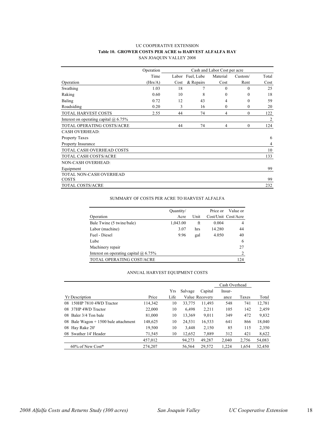#### UC COOPERATIVE EXTENSION **Table 10. GROWER COSTS PER ACRE to HARVEST ALFALFA HAY** SAN JOAQUIN VALLEY 2008

|                                              | Operation | Cash and Labor Cost per acre |            |              |              |       |
|----------------------------------------------|-----------|------------------------------|------------|--------------|--------------|-------|
|                                              | Time      | Labor                        | Fuel, Lube | Material     | Custom/      | Total |
| Operation                                    | (Hrs/A)   | Cost                         | & Repairs  | Cost         | Rent         | Cost  |
| Swathing                                     | 1.03      | 18                           | 7          | $\theta$     | $\theta$     | 25    |
| Raking                                       | 0.60      | 10                           | 8          | $\theta$     | $\theta$     | 18    |
| Baling                                       | 0.72      | 12                           | 43         | 4            | $\theta$     | 59    |
| Roadsiding                                   | 0.20      | 3                            | 16         | $\mathbf{0}$ | $\mathbf{0}$ | 20    |
| TOTAL HARVEST COSTS                          | 2.55      | 44                           | 74         | 4            | $\mathbf{0}$ | 122   |
| Interest on operating capital $\omega$ 6.75% |           |                              |            |              |              | 2     |
| TOTAL OPERATING COSTS/ACRE                   |           | 44                           | 74         | 4            | $\theta$     | 124   |
| <b>CASH OVERHEAD:</b>                        |           |                              |            |              |              |       |
| <b>Property Taxes</b>                        |           |                              |            |              |              | 6     |
| Property Insurance                           |           |                              |            |              |              | 4     |
| TOTAL CASH OVERHEAD COSTS                    |           |                              |            |              |              | 10    |
| <b>TOTAL CASH COSTS/ACRE</b>                 |           |                              |            |              |              | 133   |
| <b>NON-CASH OVERHEAD:</b>                    |           |                              |            |              |              |       |
| Equipment                                    |           |                              |            |              |              | 99    |
| TOTAL NON-CASH OVERHEAD                      |           |                              |            |              |              |       |
| <b>COSTS</b>                                 |           |                              |            |              |              | 99    |
| TOTAL COSTS/ACRE                             |           |                              |            |              |              | 232   |

SUMMARY OF COSTS PER ACRE TO HARVEST ALFALFA

|                                              | Quantity/ |      | Price or | Value or            |
|----------------------------------------------|-----------|------|----------|---------------------|
| Operation                                    | Acre      | Unit |          | Cost/Unit Cost/Acre |
| Bale Twine (5 twine/bale)                    | 1,043.00  | ft   | 0.004    | 4                   |
| Labor (machine)                              | 3.07      | hrs  | 14.280   | 44                  |
| Fuel - Diesel                                | 9.96      | gal  | 4.050    | 40                  |
| Lube                                         |           |      |          | 6                   |
| Machinery repair                             |           |      |          | 27                  |
| Interest on operating capital $\omega$ 6.75% |           |      |          | $\overline{2}$      |
| TOTAL OPERATING COST/ACRE                    |           |      |          | 124                 |

#### ANNUAL HARVEST EQUIPMENT COSTS

|                                        |         |      |         | Cash Overhead  |        |       |        |
|----------------------------------------|---------|------|---------|----------------|--------|-------|--------|
|                                        |         | Yrs  | Salvage | Capital        | Insur- |       |        |
| <b>Yr Description</b>                  | Price   | Life |         | Value Recovery | ance   | Taxes | Total  |
| 08 150HP 7810 4WD Tractor              | 114,342 | 10   | 33,775  | 11,493         | 548    | 741   | 12,781 |
| 08 37HP 4WD Tractor                    | 22,000  | 10   | 6,498   | 2,211          | 105    | 142   | 2,459  |
| 08 Baler 3/4 Ton bale                  | 81,000  | 10   | 13,369  | 9,011          | 349    | 472   | 9,832  |
| 08 Bale Wagon $+ 1500$ bale attachment | 148,625 | 10   | 24,531  | 16,533         | 641    | 866   | 18,040 |
| 08 Hay Rake 20'                        | 19,500  | 10   | 3,448   | 2,150          | 85     | 115   | 2,350  |
| 08 Swather 14' Header                  | 71,545  | 10   | 12,652  | 7,889          | 312    | 421   | 8,622  |
|                                        | 457,012 |      | 94,273  | 49,287         | 2,040  | 2,756 | 54,083 |
| 60% of New Cost*                       | 274.207 |      | 56,564  | 29,572         | 1.224  | 1,654 | 32,450 |